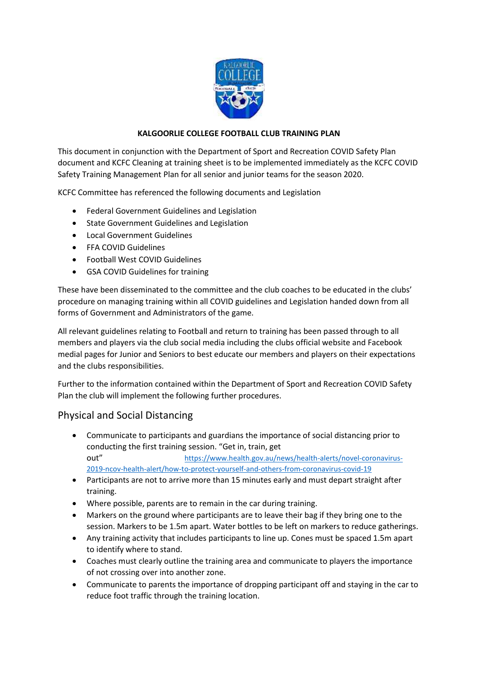

## **KALGOORLIE COLLEGE FOOTBALL CLUB TRAINING PLAN**

This document in conjunction with the Department of Sport and Recreation COVID Safety Plan document and KCFC Cleaning at training sheet is to be implemented immediately as the KCFC COVID Safety Training Management Plan for all senior and junior teams for the season 2020.

KCFC Committee has referenced the following documents and Legislation

- Federal Government Guidelines and Legislation
- State Government Guidelines and Legislation
- Local Government Guidelines
- FFA COVID Guidelines
- Football West COVID Guidelines
- GSA COVID Guidelines for training

These have been disseminated to the committee and the club coaches to be educated in the clubs' procedure on managing training within all COVID guidelines and Legislation handed down from all forms of Government and Administrators of the game.

All relevant guidelines relating to Football and return to training has been passed through to all members and players via the club social media including the clubs official website and Facebook medial pages for Junior and Seniors to best educate our members and players on their expectations and the clubs responsibilities.

Further to the information contained within the Department of Sport and Recreation COVID Safety Plan the club will implement the following further procedures.

# Physical and Social Distancing

- Communicate to participants and guardians the importance of social distancing prior to conducting the first training session. "Get in, train, get out" [https://www.health.gov.au/news/health-alerts/novel-coronavirus-](https://www.health.gov.au/news/health-alerts/novel-coronavirus-2019-ncov-health-alert/how-to-protect-yourself-and-others-from-coronavirus-covid-19)[2019-ncov-health-alert/how-to-protect-yourself-and-others-from-coronavirus-covid-19](https://www.health.gov.au/news/health-alerts/novel-coronavirus-2019-ncov-health-alert/how-to-protect-yourself-and-others-from-coronavirus-covid-19)
- Participants are not to arrive more than 15 minutes early and must depart straight after training.
- Where possible, parents are to remain in the car during training.
- Markers on the ground where participants are to leave their bag if they bring one to the session. Markers to be 1.5m apart. Water bottles to be left on markers to reduce gatherings.
- Any training activity that includes participants to line up. Cones must be spaced 1.5m apart to identify where to stand.
- Coaches must clearly outline the training area and communicate to players the importance of not crossing over into another zone.
- Communicate to parents the importance of dropping participant off and staying in the car to reduce foot traffic through the training location.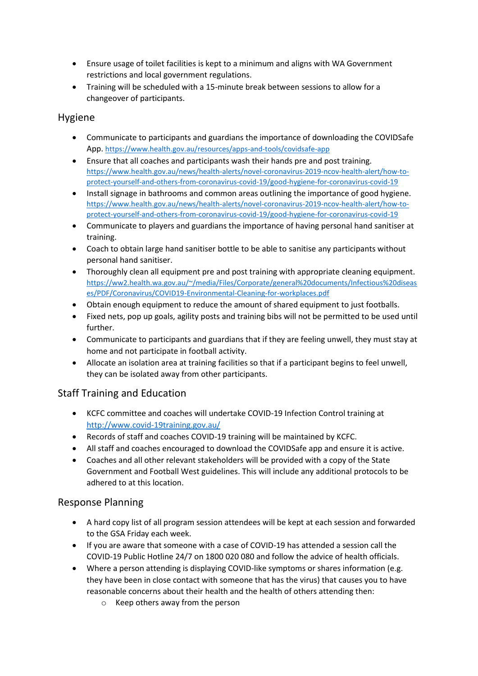- Ensure usage of toilet facilities is kept to a minimum and aligns with WA Government restrictions and local government regulations.
- Training will be scheduled with a 15-minute break between sessions to allow for a changeover of participants.

# Hygiene

- Communicate to participants and guardians the importance of downloading the COVIDSafe App. <https://www.health.gov.au/resources/apps-and-tools/covidsafe-app>
- Ensure that all coaches and participants wash their hands pre and post training. [https://www.health.gov.au/news/health-alerts/novel-coronavirus-2019-ncov-health-alert/how-to](https://www.health.gov.au/news/health-alerts/novel-coronavirus-2019-ncov-health-alert/how-to-protect-yourself-and-others-from-coronavirus-covid-19/good-hygiene-for-coronavirus-covid-19)[protect-yourself-and-others-from-coronavirus-covid-19/good-hygiene-for-coronavirus-covid-19](https://www.health.gov.au/news/health-alerts/novel-coronavirus-2019-ncov-health-alert/how-to-protect-yourself-and-others-from-coronavirus-covid-19/good-hygiene-for-coronavirus-covid-19)
- Install signage in bathrooms and common areas outlining the importance of good hygiene. [https://www.health.gov.au/news/health-alerts/novel-coronavirus-2019-ncov-health-alert/how-to](https://www.health.gov.au/news/health-alerts/novel-coronavirus-2019-ncov-health-alert/how-to-protect-yourself-and-others-from-coronavirus-covid-19/good-hygiene-for-coronavirus-covid-19)[protect-yourself-and-others-from-coronavirus-covid-19/good-hygiene-for-coronavirus-covid-19](https://www.health.gov.au/news/health-alerts/novel-coronavirus-2019-ncov-health-alert/how-to-protect-yourself-and-others-from-coronavirus-covid-19/good-hygiene-for-coronavirus-covid-19)
- Communicate to players and guardians the importance of having personal hand sanitiser at training.
- Coach to obtain large hand sanitiser bottle to be able to sanitise any participants without personal hand sanitiser.
- Thoroughly clean all equipment pre and post training with appropriate cleaning equipment. [https://ww2.health.wa.gov.au/~/media/Files/Corporate/general%20documents/Infectious%20diseas](https://ww2.health.wa.gov.au/~/media/Files/Corporate/general%20documents/Infectious%20diseases/PDF/Coronavirus/COVID19-Environmental-Cleaning-for-workplaces.pdf) [es/PDF/Coronavirus/COVID19-Environmental-Cleaning-for-workplaces.pdf](https://ww2.health.wa.gov.au/~/media/Files/Corporate/general%20documents/Infectious%20diseases/PDF/Coronavirus/COVID19-Environmental-Cleaning-for-workplaces.pdf)
- Obtain enough equipment to reduce the amount of shared equipment to just footballs.
- Fixed nets, pop up goals, agility posts and training bibs will not be permitted to be used until further.
- Communicate to participants and guardians that if they are feeling unwell, they must stay at home and not participate in football activity.
- Allocate an isolation area at training facilities so that if a participant begins to feel unwell, they can be isolated away from other participants.

# Staff Training and Education

- KCFC committee and coaches will undertake COVID-19 Infection Control training at <http://www.covid-19training.gov.au/>
- Records of staff and coaches COVID-19 training will be maintained by KCFC.
- All staff and coaches encouraged to download the COVIDSafe app and ensure it is active.
- Coaches and all other relevant stakeholders will be provided with a copy of the State Government and Football West guidelines. This will include any additional protocols to be adhered to at this location.

# Response Planning

- A hard copy list of all program session attendees will be kept at each session and forwarded to the GSA Friday each week.
- If you are aware that someone with a case of COVID-19 has attended a session call the COVID-19 Public Hotline 24/7 on 1800 020 080 and follow the advice of health officials.
- Where a person attending is displaying COVID-like symptoms or shares information (e.g. they have been in close contact with someone that has the virus) that causes you to have reasonable concerns about their health and the health of others attending then:
	- o Keep others away from the person